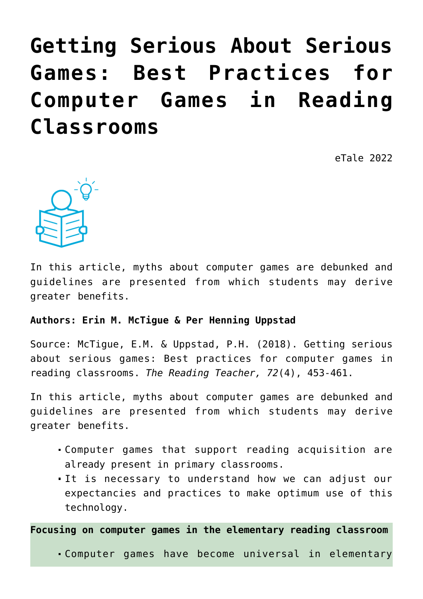# **[Getting Serious About Serious](https://dev.taleafrica.com/2021/04/07/getting-serious-about-serious-games-best-practices-for-computer-games-in-reading-classrooms/) [Games: Best Practices for](https://dev.taleafrica.com/2021/04/07/getting-serious-about-serious-games-best-practices-for-computer-games-in-reading-classrooms/) [Computer Games in Reading](https://dev.taleafrica.com/2021/04/07/getting-serious-about-serious-games-best-practices-for-computer-games-in-reading-classrooms/) [Classrooms](https://dev.taleafrica.com/2021/04/07/getting-serious-about-serious-games-best-practices-for-computer-games-in-reading-classrooms/)**

eTale 2022



In this article, myths about computer games are debunked and guidelines are presented from which students may derive greater benefits.

#### **Authors: Erin M. McTigue & Per Henning Uppstad**

Source: McTigue, E.M. & Uppstad, P.H. (2018). Getting serious about serious games: Best practices for computer games in reading classrooms. *The Reading Teacher, 72*(4), 453-461.

In this article, myths about computer games are debunked and guidelines are presented from which students may derive greater benefits.

- Computer games that support reading acquisition are already present in primary classrooms.
- It is necessary to understand how we can adjust our expectancies and practices to make optimum use of this technology.

**Focusing on computer games in the elementary reading classroom**

Computer games have become universal in elementary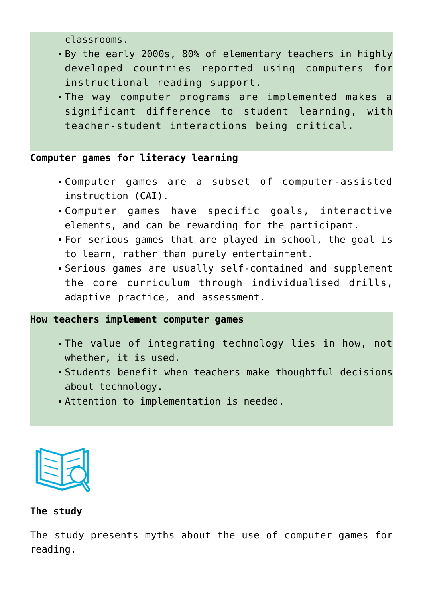classrooms.

- By the early 2000s, 80% of elementary teachers in highly developed countries reported using computers for instructional reading support.
- The way computer programs are implemented makes a significant difference to student learning, with teacher-student interactions being critical.

## **Computer games for literacy learning**

- Computer games are a subset of computer-assisted instruction (CAI).
- Computer games have specific goals, interactive elements, and can be rewarding for the participant.
- For serious games that are played in school, the goal is to learn, rather than purely entertainment.
- Serious games are usually self-contained and supplement the core curriculum through individualised drills, adaptive practice, and assessment.

#### **How teachers implement computer games**

- The value of integrating technology lies in how, not whether, it is used.
- Students benefit when teachers make thoughtful decisions about technology.
- Attention to implementation is needed.



#### **The study**

The study presents myths about the use of computer games for reading.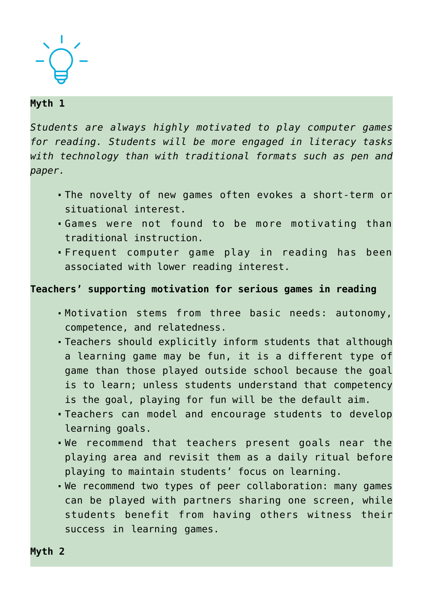

## **Myth 1**

*Students are always highly motivated to play computer games for reading. Students will be more engaged in literacy tasks with technology than with traditional formats such as pen and paper.*

- The novelty of new games often evokes a short-term or situational interest.
- Games were not found to be more motivating than traditional instruction.
- Frequent computer game play in reading has been associated with lower reading interest.

#### **Teachers' supporting motivation for serious games in reading**

- Motivation stems from three basic needs: autonomy, competence, and relatedness.
- Teachers should explicitly inform students that although a learning game may be fun, it is a different type of game than those played outside school because the goal is to learn; unless students understand that competency is the goal, playing for fun will be the default aim.
- Teachers can model and encourage students to develop learning goals.
- We recommend that teachers present goals near the playing area and revisit them as a daily ritual before playing to maintain students' focus on learning.
- We recommend two types of peer collaboration: many games can be played with partners sharing one screen, while students benefit from having others witness their success in learning games.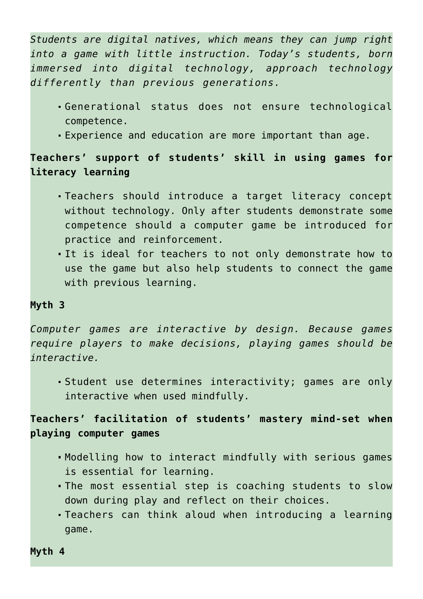*Students are digital natives, which means they can jump right into a game with little instruction. Today's students, born immersed into digital technology, approach technology differently than previous generations.*

- Generational status does not ensure technological competence.
- Experience and education are more important than age.

# **Teachers' support of students' skill in using games for literacy learning**

- Teachers should introduce a target literacy concept without technology. Only after students demonstrate some competence should a computer game be introduced for practice and reinforcement.
- It is ideal for teachers to not only demonstrate how to use the game but also help students to connect the game with previous learning.

#### **Myth 3**

*Computer games are interactive by design. Because games require players to make decisions, playing games should be interactive.*

Student use determines interactivity; games are only interactive when used mindfully.

# **Teachers' facilitation of students' mastery mind-set when playing computer games**

- Modelling how to interact mindfully with serious games is essential for learning.
- The most essential step is coaching students to slow down during play and reflect on their choices.
- Teachers can think aloud when introducing a learning game.

**Myth 4**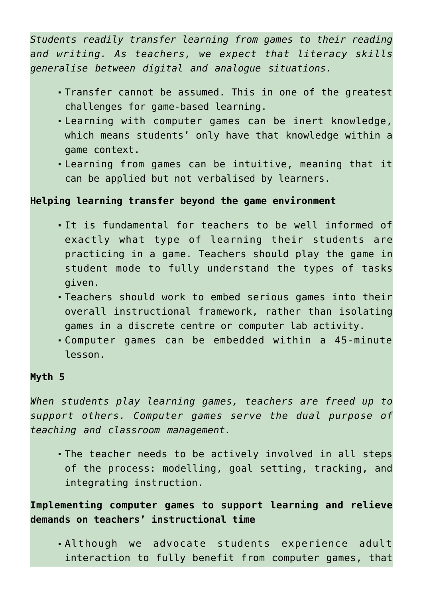*Students readily transfer learning from games to their reading and writing. As teachers, we expect that literacy skills generalise between digital and analogue situations.*

- Transfer cannot be assumed. This in one of the greatest challenges for game-based learning.
- Learning with computer games can be inert knowledge, which means students' only have that knowledge within a game context.
- Learning from games can be intuitive, meaning that it can be applied but not verbalised by learners.

### **Helping learning transfer beyond the game environment**

- It is fundamental for teachers to be well informed of exactly what type of learning their students are practicing in a game. Teachers should play the game in student mode to fully understand the types of tasks given.
- Teachers should work to embed serious games into their overall instructional framework, rather than isolating games in a discrete centre or computer lab activity.
- Computer games can be embedded within a 45-minute lesson.

#### **Myth 5**

*When students play learning games, teachers are freed up to support others. Computer games serve the dual purpose of teaching and classroom management.*

The teacher needs to be actively involved in all steps of the process: modelling, goal setting, tracking, and integrating instruction.

**Implementing computer games to support learning and relieve demands on teachers' instructional time**

Although we advocate students experience adult interaction to fully benefit from computer games, that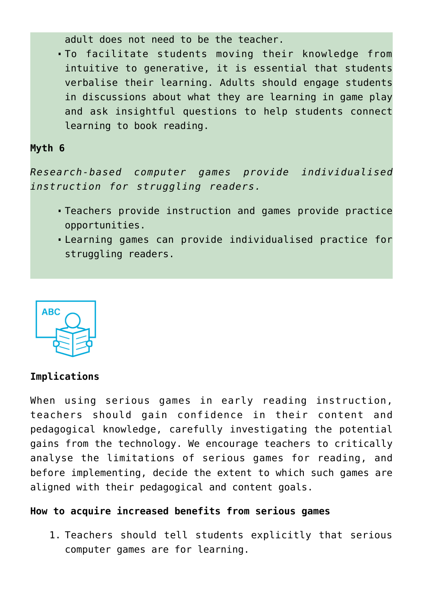adult does not need to be the teacher.

To facilitate students moving their knowledge from intuitive to generative, it is essential that students verbalise their learning. Adults should engage students in discussions about what they are learning in game play and ask insightful questions to help students connect learning to book reading.

#### **Myth 6**

*Research-based computer games provide individualised instruction for struggling readers.*

- Teachers provide instruction and games provide practice opportunities.
- Learning games can provide individualised practice for struggling readers.



#### **Implications**

When using serious games in early reading instruction, teachers should gain confidence in their content and pedagogical knowledge, carefully investigating the potential gains from the technology. We encourage teachers to critically analyse the limitations of serious games for reading, and before implementing, decide the extent to which such games are aligned with their pedagogical and content goals.

#### **How to acquire increased benefits from serious games**

1. Teachers should tell students explicitly that serious computer games are for learning.